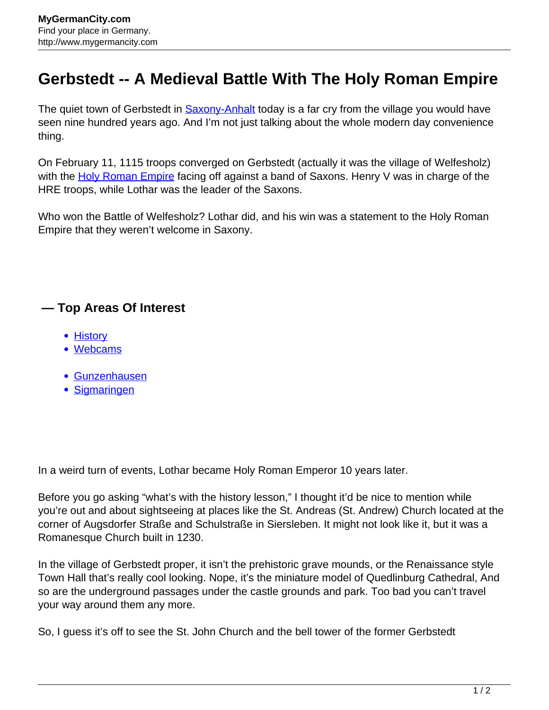## **Gerbstedt -- A Medieval Battle With The Holy Roman Empire**

The quiet town of Gerbstedt in [Saxony-Anhalt](http://www.mygermancity.com/saxony-anhalt) today is a far cry from the village you would have seen nine hundred years ago. And I'm not just talking about the whole modern day convenience thing.

On February 11, 1115 troops converged on Gerbstedt (actually it was the village of Welfesholz) with the [Holy Roman Empire](http://www.mygermancity.com/holy-roman-empire) facing off against a band of Saxons. Henry V was in charge of the HRE troops, while Lothar was the leader of the Saxons.

Who won the Battle of Welfesholz? Lothar did, and his win was a statement to the Holy Roman Empire that they weren't welcome in Saxony.

## **— Top Areas Of Interest**

- [History](http://www.mygermancity.com/leipzig-history)
- [Webcams](http://www.mygermancity.com/neustadt-holstein-webcams)
- [Gunzenhausen](http://www.mygermancity.com/gunzenhausen)
- [Sigmaringen](http://www.mygermancity.com/sigmaringen)

In a weird turn of events, Lothar became Holy Roman Emperor 10 years later.

Before you go asking "what's with the history lesson," I thought it'd be nice to mention while you're out and about sightseeing at places like the St. Andreas (St. Andrew) Church located at the corner of Augsdorfer Straße and Schulstraße in Siersleben. It might not look like it, but it was a Romanesque Church built in 1230.

In the village of Gerbstedt proper, it isn't the prehistoric grave mounds, or the Renaissance style Town Hall that's really cool looking. Nope, it's the miniature model of Quedlinburg Cathedral, And so are the underground passages under the castle grounds and park. Too bad you can't travel your way around them any more.

So, I guess it's off to see the St. John Church and the bell tower of the former Gerbstedt